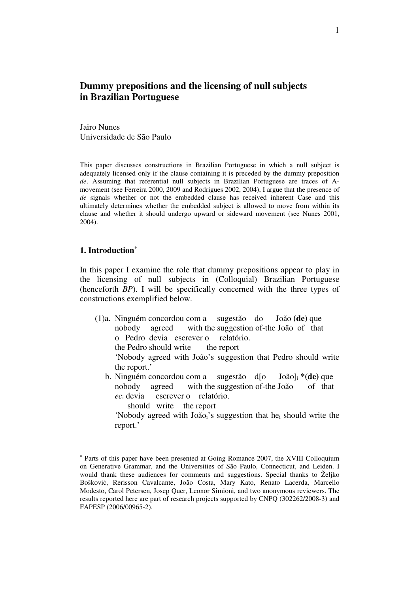# **Dummy prepositions and the licensing of null subjects in Brazilian Portuguese**

Jairo Nunes Universidade de São Paulo

This paper discusses constructions in Brazilian Portuguese in which a null subject is adequately licensed only if the clause containing it is preceded by the dummy preposition *de*. Assuming that referential null subjects in Brazilian Portuguese are traces of Amovement (see Ferreira 2000, 2009 and Rodrigues 2002, 2004), I argue that the presence of *de* signals whether or not the embedded clause has received inherent Case and this ultimately determines whether the embedded subject is allowed to move from within its clause and whether it should undergo upward or sideward movement (see Nunes 2001, 2004).

## **1. Introduction\***

 $\overline{a}$ 

In this paper I examine the role that dummy prepositions appear to play in the licensing of null subjects in (Colloquial) Brazilian Portuguese (henceforth *BP*). I will be specifically concerned with the three types of constructions exemplified below.

- (1)a. Ninguém concordou com a sugestão do João **(de)** que nobody agreed with the suggestion of-the João of that o Pedro devia escrever o relatório. the Pedro should write the report 'Nobody agreed with João's suggestion that Pedro should write the report.'
	- b. Ninguém concordou com a sugestão d[o João]<sup>i</sup> **\*(de)** que nobody agreed with the suggestion of-the João of that *ec*i devia escrever o relatório.

should write the report

'Nobody agreed with Joãoi's suggestion that hei should write the report.'

<sup>\*</sup> Parts of this paper have been presented at Going Romance 2007, the XVIII Colloquium on Generative Grammar, and the Universities of São Paulo, Connecticut, and Leiden. I would thank these audiences for comments and suggestions. Special thanks to Željko Bošković, Rerisson Cavalcante, João Costa, Mary Kato, Renato Lacerda, Marcello Modesto, Carol Petersen, Josep Quer, Leonor Simioni, and two anonymous reviewers. The results reported here are part of research projects supported by CNPQ (302262/2008-3) and FAPESP (2006/00965-2).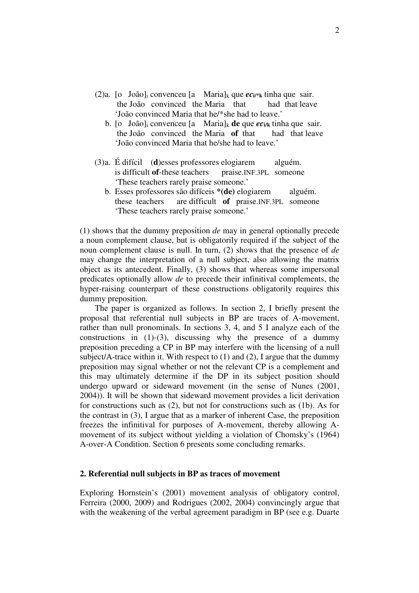- (2)a. [o João]<sub>i</sub> convenceu [a Maria]<sub>k</sub> que  $ec_i$ <sup>\*</sup>k tinha que sair. the João convinced the Maria that had that leave 'João convinced Maria that he/\*she had to leave.'
	- b. [o João]i convenceu [a Maria]<sup>k</sup> **de** que *ec***i/k** tinha que sair. the João convinced the Maria **of** that had that leave 'João convinced Maria that he/she had to leave.'
- (3)a. É difícil (**d**)esses professores elogiarem alguém. is difficult **of**-these teachers praise.INF.3PL someone 'These teachers rarely praise someone.'
	- b. Esses professores são difíceis **\*(de)** elogiarem alguém. these teachers are difficult **of** praise.INF.3PL someone 'These teachers rarely praise someone.'

(1) shows that the dummy preposition *de* may in general optionally precede a noun complement clause, but is obligatorily required if the subject of the noun complement clause is null. In turn, (2) shows that the presence of *de* may change the interpretation of a null subject, also allowing the matrix object as its antecedent. Finally, (3) shows that whereas some impersonal predicates optionally allow *de* to precede their infinitival complements, the hyper-raising counterpart of these constructions obligatorily requires this dummy preposition*.*

 The paper is organized as follows. In section 2, I briefly present the proposal that referential null subjects in BP are traces of A-movement, rather than null pronominals. In sections 3, 4, and 5 I analyze each of the constructions in  $(1)-(3)$ , discussing why the presence of a dummy preposition preceding a CP in BP may interfere with the licensing of a null subject/A-trace within it. With respect to  $(1)$  and  $(2)$ , I argue that the dummy preposition may signal whether or not the relevant CP is a complement and this may ultimately determine if the DP in its subject position should undergo upward or sideward movement (in the sense of Nunes (2001, 2004)). It will be shown that sideward movement provides a licit derivation for constructions such as (2), but not for constructions such as (1b). As for the contrast in (3), I argue that as a marker of inherent Case, the preposition freezes the infinitival for purposes of A-movement, thereby allowing Amovement of its subject without yielding a violation of Chomsky's (1964) A-over-A Condition. Section 6 presents some concluding remarks.

## **2. Referential null subjects in BP as traces of movement**

Exploring Hornstein's (2001) movement analysis of obligatory control, Ferreira (2000, 2009) and Rodrigues (2002, 2004) convincingly argue that with the weakening of the verbal agreement paradigm in BP (see e.g. Duarte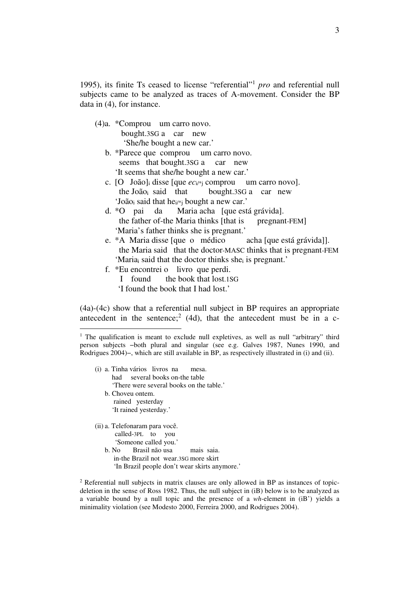1995), its finite Ts ceased to license "referential" 1 *pro* and referential null subjects came to be analyzed as traces of A-movement. Consider the BP data in (4), for instance.

- (4)a. \*Comprou um carro novo. bought.3SG a car new 'She/he bought a new car.'
	- b. \*Parece que comprou um carro novo. seems that bought.3SG a car new 'It seems that she/he bought a new car.'
	- c. [O João]i disse [que *ec*i/\*j comprou um carro novo]. the João<sub>i</sub> said that bought.3SG a car new 'João<sub>i</sub> said that he<sub>i/\*j</sub> bought a new car.'
	- d. \*O pai da Maria acha [que está grávida]. the father of-the Maria thinks [that is pregnant-FEM] 'Maria's father thinks she is pregnant.'
	- e. \*A Maria disse [que o médico acha [que está grávida]]. the Maria said that the doctor-MASC thinks that is pregnant-FEM 'Maria<sub>i</sub> said that the doctor thinks she<sub>i</sub> is pregnant.'
	- f. \*Eu encontrei o livro que perdi.
		- I found the book that lost.1SG 'I found the book that I had lost.'

(4a)-(4c) show that a referential null subject in BP requires an appropriate antecedent in the sentence;<sup>2</sup> (4d), that the antecedent must be in a c-

 (i) a. Tinha vários livros na mesa. had several books on-the table 'There were several books on the table.' b. Choveu ontem. rained yesterday 'It rained yesterday.' (ii) a. Telefonaram para você.

 $\overline{a}$ 

 called-3PL to you 'Someone called you.' b. No Brasil não usa mais saia. in-the Brazil not wear.3SG more skirt 'In Brazil people don't wear skirts anymore.'

<sup>2</sup> Referential null subjects in matrix clauses are only allowed in BP as instances of topicdeletion in the sense of Ross 1982. Thus, the null subject in (iB) below is to be analyzed as a variable bound by a null topic and the presence of a *wh*-element in (iB') yields a minimality violation (see Modesto 2000, Ferreira 2000, and Rodrigues 2004).

<sup>&</sup>lt;sup>1</sup> The qualification is meant to exclude null expletives, as well as null "arbitrary" third person subjects −both plural and singular (see e.g. Galves 1987, Nunes 1990, and Rodrigues 2004)−, which are still available in BP, as respectively illustrated in (i) and (ii).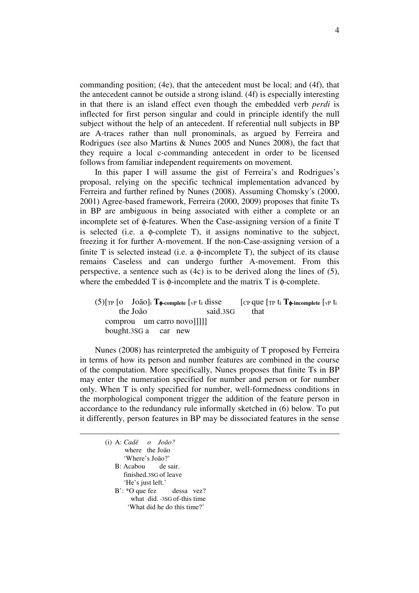commanding position; (4e), that the antecedent must be local; and (4f), that the antecedent cannot be outside a strong island. (4f) is especially interesting in that there is an island effect even though the embedded verb *perdi* is inflected for first person singular and could in principle identify the null subject without the help of an antecedent. If referential null subjects in BP are A-traces rather than null pronominals, as argued by Ferreira and Rodrigues (see also Martins & Nunes 2005 and Nunes 2008), the fact that they require a local c-commanding antecedent in order to be licensed follows from familiar independent requirements on movement.

 In this paper I will assume the gist of Ferreira's and Rodrigues's proposal, relying on the specific technical implementation advanced by Ferreira and further refined by Nunes (2008). Assuming Chomsky´s (2000, 2001) Agree-based framework, Ferreira (2000, 2009) proposes that finite Ts in BP are ambiguous in being associated with either a complete or an incomplete set of φ-features. When the Case-assigning version of a finite T is selected (i.e. a  $\phi$ -complete T), it assigns nominative to the subject, freezing it for further A-movement. If the non-Case-assigning version of a finite T is selected instead (i.e. a  $\phi$ -incomplete T), the subject of its clause remains Caseless and can undergo further A-movement. From this perspective, a sentence such as (4c) is to be derived along the lines of (5), where the embedded  $T$  is  $\phi$ -incomplete and the matrix  $T$  is  $\phi$ -complete.

 (5)[TP [o João]<sup>i</sup> **T**φ**-complete** [vP ti disse [CP que [TP t<sup>i</sup> **T**φ**-incomplete** [vP t<sup>i</sup> the João said.3SG that comprou um carro novo]]]]] bought.3SG a car new

 Nunes (2008) has reinterpreted the ambiguity of T proposed by Ferreira in terms of how its person and number features are combined in the course of the computation. More specifically, Nunes proposes that finite Ts in BP may enter the numeration specified for number and person or for number only. When T is only specified for number, well-formedness conditions in the morphological component trigger the addition of the feature person in accordance to the redundancy rule informally sketched in (6) below. To put it differently, person features in BP may be dissociated features in the sense

| (i) A: $Cad\hat{e}$ o $Jo\tilde{a}o$ ? |
|----------------------------------------|
| where the João                         |
| 'Where's João?'                        |
| B: Acabou de sair.                     |
| finished.3SG of leave                  |
| 'He's just left.'                      |
| $B'$ : *O que fez dessa vez?           |
| what did. -3SG of-this time            |
| 'What did he do this time?'            |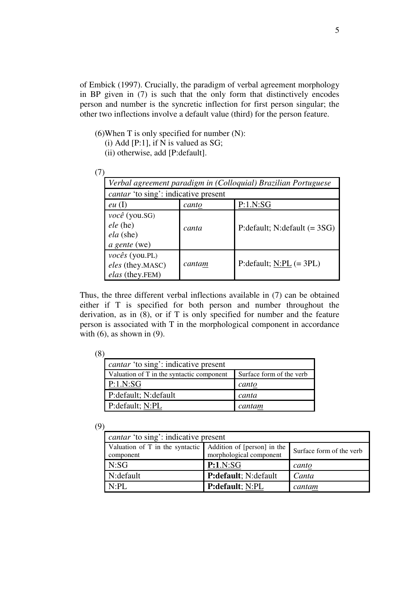of Embick (1997). Crucially, the paradigm of verbal agreement morphology in BP given in (7) is such that the only form that distinctively encodes person and number is the syncretic inflection for first person singular; the other two inflections involve a default value (third) for the person feature.

(6)When T is only specified for number (N):

- (i) Add  $[P:1]$ , if N is valued as SG;
- (ii) otherwise, add [P:default].

| <i>cantar</i> 'to sing': indicative present              |        |                                  |
|----------------------------------------------------------|--------|----------------------------------|
| eu(1)                                                    | canto  | P:1.N:SG                         |
| você (you.SG)<br>$ele$ (he)<br>ela (she)<br>a gente (we) | canta  | P: default; N: default $(= 3SG)$ |
| vocês (you.PL)<br>eles (they.MASC)<br>elas (they.FEM)    | cantam | P: default; $N:PL (= 3PL)$       |

Thus, the three different verbal inflections available in (7) can be obtained either if T is specified for both person and number throughout the derivation, as in (8), or if T is only specified for number and the feature person is associated with T in the morphological component in accordance with  $(6)$ , as shown in  $(9)$ .

| <i>cantar</i> 'to sing': indicative present |                          |  |  |  |
|---------------------------------------------|--------------------------|--|--|--|
| Valuation of T in the syntactic component   | Surface form of the verb |  |  |  |
| P:1.N:SG                                    | canto                    |  |  |  |
| P:default; N:default                        | canta                    |  |  |  |
| P: default; N:PL                            | cantam                   |  |  |  |

(9)

| <i>cantar</i> 'to sing': indicative present                           |                         |                          |  |  |
|-----------------------------------------------------------------------|-------------------------|--------------------------|--|--|
| Valuation of T in the syntactic Addition of [person] in the component |                         | Surface form of the verb |  |  |
| N:SG                                                                  | P:1.N:SG                | canto                    |  |  |
| N: default                                                            | P:default; N:default    | Canta                    |  |  |
| N:PL                                                                  | <b>P:default</b> ; N:PL | cantam                   |  |  |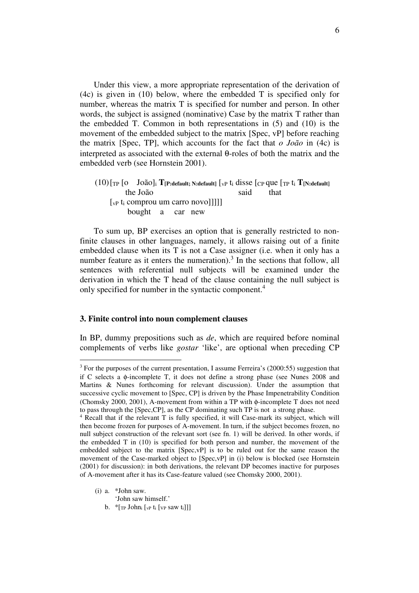Under this view, a more appropriate representation of the derivation of (4c) is given in (10) below, where the embedded T is specified only for number, whereas the matrix T is specified for number and person. In other words, the subject is assigned (nominative) Case by the matrix T rather than the embedded T. Common in both representations in (5) and (10) is the movement of the embedded subject to the matrix [Spec, vP] before reaching the matrix [Spec, TP], which accounts for the fact that *o João* in (4c) is interpreted as associated with the external θ-roles of both the matrix and the embedded verb (see Hornstein 2001).

 (10) [TP [o João]<sup>i</sup> **T[P:default; N:default]** [vP ti disse [CP que [TP t<sup>i</sup> **T[N:default]** the João said that [vP ti comprou um carro novo]]]]] bought a car new

To sum up, BP exercises an option that is generally restricted to nonfinite clauses in other languages, namely, it allows raising out of a finite embedded clause when its T is not a Case assigner (i.e. when it only has a number feature as it enters the numeration).<sup>3</sup> In the sections that follow, all sentences with referential null subjects will be examined under the derivation in which the T head of the clause containing the null subject is only specified for number in the syntactic component.<sup>4</sup>

## **3. Finite control into noun complement clauses**

In BP, dummy prepositions such as *de*, which are required before nominal complements of verbs like *gostar* 'like', are optional when preceding CP

 $3$  For the purposes of the current presentation, I assume Ferreira's (2000:55) suggestion that if C selects a φ-incomplete T, it does not define a strong phase (see Nunes 2008 and Martins & Nunes forthcoming for relevant discussion). Under the assumption that successive cyclic movement to [Spec, CP] is driven by the Phase Impenetrability Condition (Chomsky 2000, 2001), A-movement from within a TP with φ-incomplete T does not need to pass through the [Spec,CP], as the CP dominating such TP is not a strong phase.

<sup>4</sup> Recall that if the relevant T is fully specified, it will Case-mark its subject, which will then become frozen for purposes of A-movement. In turn, if the subject becomes frozen, no null subject construction of the relevant sort (see fn. 1) will be derived. In other words, if the embedded T in (10) is specified for both person and number, the movement of the embedded subject to the matrix [Spec,vP] is to be ruled out for the same reason the movement of the Case-marked object to [Spec,vP] in (i) below is blocked (see Hornstein (2001) for discussion): in both derivations, the relevant DP becomes inactive for purposes of A-movement after it has its Case-feature valued (see Chomsky 2000, 2001).

<sup>(</sup>i) a. \*John saw.

 <sup>&#</sup>x27;John saw himself.'

b.  $*$ [TP John<sub>i</sub> [vP t<sub>i</sub> [VP saw t<sub>i</sub>]]]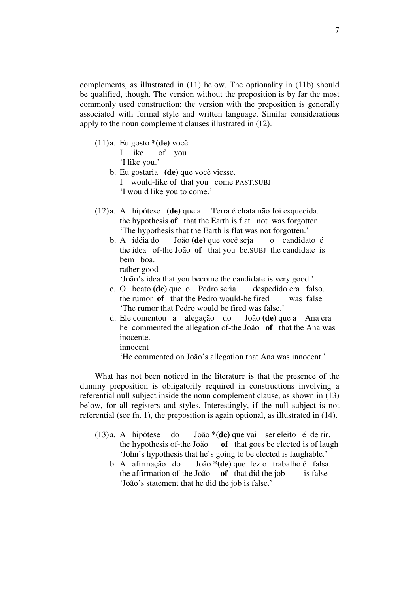complements, as illustrated in (11) below. The optionality in (11b) should be qualified, though. The version without the preposition is by far the most commonly used construction; the version with the preposition is generally associated with formal style and written language. Similar considerations apply to the noun complement clauses illustrated in (12).

(11) a. Eu gosto **\*(de)** você.

|  | I like        | of you |
|--|---------------|--------|
|  | 'I like you.' |        |

- b. Eu gostaria **(de)** que você viesse. I would-like of that you come-PAST.SUBJ 'I would like you to come.'
- (12) a. A hipótese **(de)** que a Terra é chata não foi esquecida. the hypothesis **of** that the Earth is flat not was forgotten 'The hypothesis that the Earth is flat was not forgotten.'
	- b. A idéia do João **(de)** que você seja o candidato é the idea of-the João **of** that you be.SUBJ the candidate is bem boa.

rather good

'João's idea that you become the candidate is very good.'

- c. O boato **(de)** que o Pedro seria despedido era falso. the rumor **of** that the Pedro would-be fired was false 'The rumor that Pedro would be fired was false.'
- d. Ele comentou a alegação do João **(de)** que a Ana era he commented the allegation of-the João **of** that the Ana was inocente.

innocent

'He commented on João's allegation that Ana was innocent.'

 What has not been noticed in the literature is that the presence of the dummy preposition is obligatorily required in constructions involving a referential null subject inside the noun complement clause, as shown in (13) below, for all registers and styles. Interestingly, if the null subject is not referential (see fn. 1), the preposition is again optional, as illustrated in (14).

- (13) a. A hipótese do João **\*(de)** que vai ser eleito é de rir. the hypothesis of-the João **of** that goes be elected is of laugh 'John's hypothesis that he's going to be elected is laughable.'
	- b. A afirmação do João **\*(de)** que fez o trabalho é falsa. the affirmation of-the João **of** that did the job is false 'João's statement that he did the job is false.'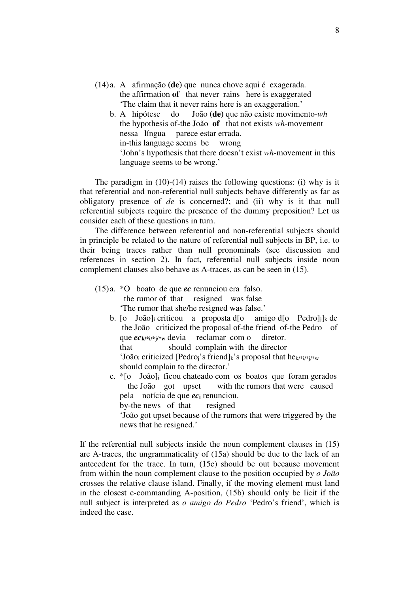- (14) a. A afirmação **(de)** que nunca chove aqui é exagerada. the affirmation **of** that never rains here is exaggerated 'The claim that it never rains here is an exaggeration.'
	- b. A hipótese do João **(de)** que não existe movimento-*wh* the hypothesis of-the João **of** that not exists *wh*-movement nessa língua parece estar errada. in-this language seems be wrong 'John's hypothesis that there doesn't exist *wh*-movement in this language seems to be wrong.'

The paradigm in  $(10)-(14)$  raises the following questions: (i) why is it that referential and non-referential null subjects behave differently as far as obligatory presence of *de* is concerned?; and (ii) why is it that null referential subjects require the presence of the dummy preposition? Let us consider each of these questions in turn.

 The difference between referential and non-referential subjects should in principle be related to the nature of referential null subjects in BP, i.e. to their being traces rather than null pronominals (see discussion and references in section 2). In fact, referential null subjects inside noun complement clauses also behave as A-traces, as can be seen in (15).

- (15) a. \*O boato de que *ec* renunciou era falso. the rumor of that resigned was false 'The rumor that she/he resigned was false.'
	- b. [o João]<sub>i</sub> criticou a proposta d[o amigo d[o Pedro]<sub>i</sub>]<sub>k</sub> de the João criticized the proposal of-the friend of-the Pedro of que *ec***k/\*i/\*j/\*w** devia reclamar com o diretor. that should complain with the director 'João<sub>i</sub> criticized [Pedro<sub>i</sub>'s friend]<sub>k</sub>'s proposal that he<sub>k/\*i/\*i/\*w</sub> should complain to the director.'
	- c. \*[o João]i ficou chateado com os boatos que foram gerados the João got upset with the rumors that were caused pela notícia de que *ec***i** renunciou.

by-the news of that resigned

 'João got upset because of the rumors that were triggered by the news that he resigned.'

If the referential null subjects inside the noun complement clauses in (15) are A-traces, the ungrammaticality of (15a) should be due to the lack of an antecedent for the trace. In turn, (15c) should be out because movement from within the noun complement clause to the position occupied by *o João* crosses the relative clause island. Finally, if the moving element must land in the closest c-commanding A-position, (15b) should only be licit if the null subject is interpreted as *o amigo do Pedro* 'Pedro's friend', which is indeed the case.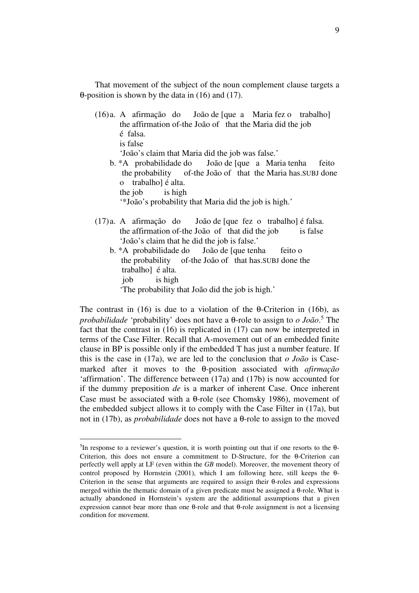That movement of the subject of the noun complement clause targets a θ-position is shown by the data in (16) and (17).

- (16) a. A afirmação do João de [que a Maria fez o trabalho] the affirmation of-the João of that the Maria did the job é falsa. is false 'João's claim that Maria did the job was false.' b. \*A probabilidade do João de [que a Maria tenha feito the probability of-the João of that the Maria has.SUBJ done o trabalho] é alta.
	- the job is high

 $\overline{a}$ 

- '\*João's probability that Maria did the job is high.'
- (17) a. A afirmação do João de [que fez o trabalho] é falsa. the affirmation of-the João of that did the job is false 'João's claim that he did the job is false.'
	- b. \*A probabilidade do João de [que tenha feito o the probability of-the João of that has.SUBJ done the trabalho] é alta. job is high
		- 'The probability that João did the job is high.'

The contrast in (16) is due to a violation of the  $\theta$ -Criterion in (16b), as *probabilidade* 'probability' does not have a θ-role to assign to *o João*. 5 The fact that the contrast in (16) is replicated in (17) can now be interpreted in terms of the Case Filter. Recall that A-movement out of an embedded finite clause in BP is possible only if the embedded T has just a number feature. If this is the case in (17a), we are led to the conclusion that *o João* is Casemarked after it moves to the θ-position associated with *afirmação* 'affirmation'. The difference between (17a) and (17b) is now accounted for if the dummy preposition *de* is a marker of inherent Case. Once inherent Case must be associated with a θ-role (see Chomsky 1986), movement of the embedded subject allows it to comply with the Case Filter in (17a), but not in (17b), as *probabilidade* does not have a θ-role to assign to the moved

<sup>&</sup>lt;sup>5</sup>In response to a reviewer's question, it is worth pointing out that if one resorts to the  $\theta$ -Criterion, this does not ensure a commitment to D-Structure, for the θ-Criterion can perfectly well apply at LF (even within the *GB* model). Moreover, the movement theory of control proposed by Hornstein (2001), which I am following here, still keeps the θ-Criterion in the sense that arguments are required to assign their θ-roles and expressions merged within the thematic domain of a given predicate must be assigned a θ-role. What is actually abandoned in Hornstein's system are the additional assumptions that a given expression cannot bear more than one θ-role and that θ-role assignment is not a licensing condition for movement.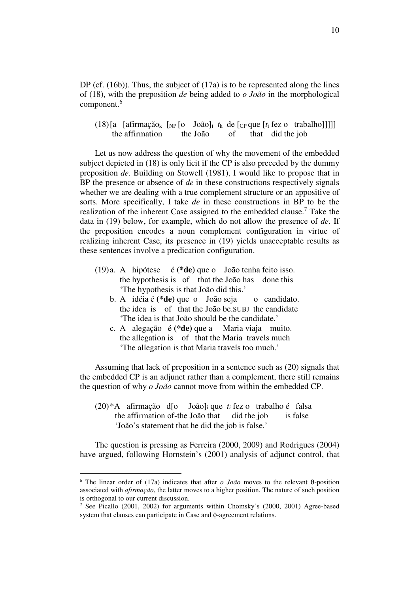DP (cf.  $(16b)$ ). Thus, the subject of  $(17a)$  is to be represented along the lines of (18), with the preposition *de* being added to *o João* in the morphological component.<sup>6</sup>

(18) [a [afirmação<sub>k</sub> [<sub>NP</sub> [o João]<sub>i</sub>  $t_k$  de [<sub>CP</sub> que [ $t_i$  fez o trabalho]]]]] the affirmation the João of that did the job

 Let us now address the question of why the movement of the embedded subject depicted in (18) is only licit if the CP is also preceded by the dummy preposition *de*. Building on Stowell (1981), I would like to propose that in BP the presence or absence of *de* in these constructions respectively signals whether we are dealing with a true complement structure or an appositive of sorts. More specifically, I take *de* in these constructions in BP to be the realization of the inherent Case assigned to the embedded clause.<sup>7</sup> Take the data in (19) below, for example, which do not allow the presence of *de*. If the preposition encodes a noun complement configuration in virtue of realizing inherent Case, its presence in (19) yields unacceptable results as these sentences involve a predication configuration.

- (19) a. A hipótese é **(\*de)** que o João tenha feito isso. the hypothesis is of that the João has done this 'The hypothesis is that João did this.'
	- b. A idéia é **(\*de)** que o João seja o candidato. the idea is of that the João be.SUBJ the candidate 'The idea is that João should be the candidate.'
	- c. A alegação é **(\*de)** que a Maria viaja muito. the allegation is of that the Maria travels much 'The allegation is that Maria travels too much.'

 Assuming that lack of preposition in a sentence such as (20) signals that the embedded CP is an adjunct rather than a complement, there still remains the question of why *o João* cannot move from within the embedded CP.

 (20) \*A afirmação d[o João]i que *ti* fez o trabalho é falsa the affirmation of-the João that did the job is false 'João's statement that he did the job is false.'

 The question is pressing as Ferreira (2000, 2009) and Rodrigues (2004) have argued, following Hornstein's (2001) analysis of adjunct control, that

<sup>6</sup> The linear order of (17a) indicates that after *o João* moves to the relevant θ-position associated with *afirmação*, the latter moves to a higher position. The nature of such position is orthogonal to our current discussion.

<sup>7</sup> See Picallo (2001, 2002) for arguments within Chomsky's (2000, 2001) Agree-based system that clauses can participate in Case and φ-agreement relations.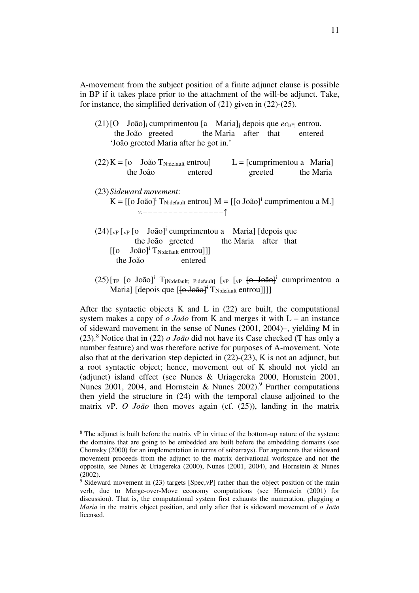A-movement from the subject position of a finite adjunct clause is possible in BP if it takes place prior to the attachment of the will-be adjunct. Take, for instance, the simplified derivation of (21) given in (22)-(25).

 $(21)$  [O João]<sub>i</sub> cumprimentou [a Maria]<sub>i</sub> depois que  $ec_i$ <sup>\*</sup>i entrou. the João greeted the Maria after that entered 'João greeted Maria after he got in.'

| $(22) K = [o$ João T <sub>N:default</sub> entrou |         | $L = [cumprimentou a Maria]$ |           |
|--------------------------------------------------|---------|------------------------------|-----------|
| the João                                         | entered | greeted                      | the Maria |

(23) *Sideward movement*:

 $\overline{a}$ 

- $K = [[o João]<sup>i</sup> T<sub>N:default</sub> entrou] M = [[o João]<sup>i</sup> cumprimentou a M.]$ z----------------↑
- $(24)$ [<sub>vP</sub> [<sub>vP</sub> [o João]<sup>i</sup> cumprimentou a Maria] [depois que the João greeted the Maria after that  $\begin{bmatrix} [\text{o} & \text{João}]^{\text{i}} \text{Tr}_{\text{d} \text{efault}} \text{entrou} \end{bmatrix}$ the João entered
- $(25)$ [TP [O JOãO]<sup>i</sup> T<sub>[N:default; P:default]</sub> [<sub>VP</sub> [<sub>V</sub>P [<del>O JOãO]<sup>i</sup></del> cumprimentou a Maria] [depois que [<del>[o João]<sup>i</sup></del> T<sub>N:default</sub> entrou]]]]

After the syntactic objects K and L in  $(22)$  are built, the computational system makes a copy of *o João* from K and merges it with L – an instance of sideward movement in the sense of Nunes (2001, 2004)–, yielding M in  $(23)$ .<sup>8</sup> Notice that in (22)  $o$  João did not have its Case checked (T has only a number feature) and was therefore active for purposes of A-movement. Note also that at the derivation step depicted in (22)-(23), K is not an adjunct, but a root syntactic object; hence, movement out of K should not yield an (adjunct) island effect (see Nunes & Uriagereka 2000, Hornstein 2001, Nunes 2001, 2004, and Hornstein & Nunes  $2002$ .<sup>9</sup> Further computations then yield the structure in (24) with the temporal clause adjoined to the matrix vP. *O João* then moves again (cf. (25)), landing in the matrix

<sup>&</sup>lt;sup>8</sup> The adjunct is built before the matrix  $vP$  in virtue of the bottom-up nature of the system: the domains that are going to be embedded are built before the embedding domains (see Chomsky (2000) for an implementation in terms of subarrays). For arguments that sideward movement proceeds from the adjunct to the matrix derivational workspace and not the opposite, see Nunes & Uriagereka (2000), Nunes (2001, 2004), and Hornstein & Nunes (2002).

<sup>&</sup>lt;sup>9</sup> Sideward movement in (23) targets [Spec, vP] rather than the object position of the main verb, due to Merge-over-Move economy computations (see Hornstein (2001) for discussion). That is, the computational system first exhausts the numeration, plugging *a Maria* in the matrix object position, and only after that is sideward movement of *o João* licensed.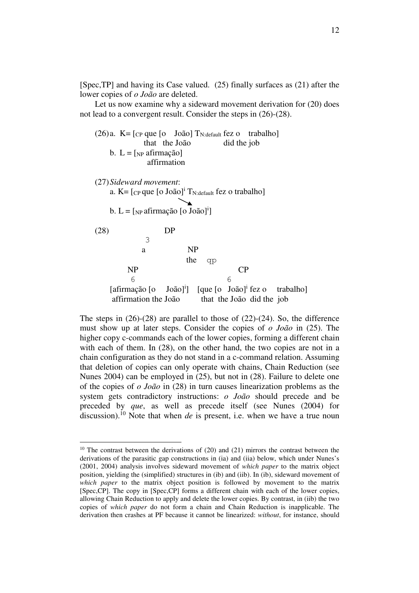[Spec,TP] and having its Case valued. (25) finally surfaces as (21) after the lower copies of *o João* are deleted.

 Let us now examine why a sideward movement derivation for (20) does not lead to a convergent result. Consider the steps in (26)-(28).

(26) a. 
$$
K = [c_P]
$$
 que [o João]  $T_{N:default}$  fez o trabalho]

\n b.  $L = [N_P]$  afirmação]

\n a.  $K = [c_P]$  que [o João]<sup>i</sup>  $T_{N:default}$  fez o trabalho]

\nb.  $L = [N_P]$  afirmação [o João]<sup>i</sup>]

\n(28)

\n b.  $L = [N_P]$  afirmação [o João]<sup>i</sup>]

\n c.  $\frac{1}{2}$  (28)

\n b.  $\frac{1}{2}$  (28)

\n c.  $\frac{1}{2}$  (28)

\n c.  $\frac{1}{2}$  (28)

\n c.  $\frac{1}{2}$  (28)

\n c.  $\frac{1}{2}$  (28)

\n c.  $\frac{1}{2}$  (28)

\n c.  $\frac{1}{2}$  (28)

\n c.  $\frac{1}{2}$  (28)

\n c.  $\frac{1}{2}$  (28)

\n c.  $\frac{1}{2}$  (28)

\n c.  $\frac{1}{2}$  (28)

\n c.  $\frac{1}{2}$  (28)

\n c.  $\frac{1}{2}$  (28)

\n c.  $\frac{1}{2}$  (28)

\n c.  $\frac{1}{2}$  (28)

\n c.  $\frac{1}{2}$  (28)

\n c.  $\frac{1}{2}$  (28)

\n c.  $\frac{1}{2}$  (28)

\n c.  $\frac{1}{2}$  (28)

\n c.  $\frac{1}{2}$  (28)

\n c.  $\frac{1}{2}$  (28)

\n c.  $\frac{1}{2}$  (28)

\n c.  $\frac{1}{2}$  (28)

\n c.  $\frac{1}{2}$  (28)

\n c.  $\$ 

The steps in (26)-(28) are parallel to those of (22)-(24). So, the difference must show up at later steps. Consider the copies of *o João* in (25). The higher copy c-commands each of the lower copies, forming a different chain with each of them. In (28), on the other hand, the two copies are not in a chain configuration as they do not stand in a c-command relation. Assuming that deletion of copies can only operate with chains, Chain Reduction (see Nunes 2004) can be employed in (25), but not in (28). Failure to delete one of the copies of *o João* in (28) in turn causes linearization problems as the system gets contradictory instructions: *o João* should precede and be preceded by *que*, as well as precede itself (see Nunes (2004) for discussion).<sup>10</sup> Note that when *de* is present, i.e. when we have a true noun

 $10$  The contrast between the derivations of (20) and (21) mirrors the contrast between the derivations of the parasitic gap constructions in (ia) and (iia) below, which under Nunes's (2001, 2004) analysis involves sideward movement of *which paper* to the matrix object position, yielding the (simplified) structures in (ib) and (iib). In (ib), sideward movement of *which paper* to the matrix object position is followed by movement to the matrix [Spec,CP]. The copy in [Spec,CP] forms a different chain with each of the lower copies, allowing Chain Reduction to apply and delete the lower copies. By contrast, in (iib) the two copies of *which paper* do not form a chain and Chain Reduction is inapplicable. The derivation then crashes at PF because it cannot be linearized: *without*, for instance, should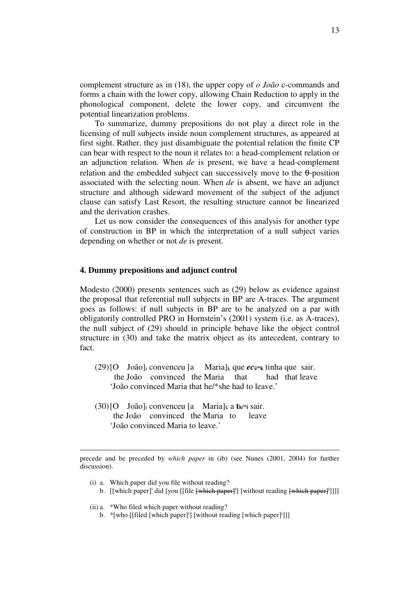complement structure as in (18), the upper copy of *o João* c-commands and forms a chain with the lower copy, allowing Chain Reduction to apply in the phonological component, delete the lower copy, and circumvent the potential linearization problems.

 To summarize, dummy prepositions do not play a direct role in the licensing of null subjects inside noun complement structures, as appeared at first sight. Rather, they just disambiguate the potential relation the finite CP can bear with respect to the noun it relates to: a head-complement relation or an adjunction relation. When *de* is present, we have a head-complement relation and the embedded subject can successively move to the θ-position associated with the selecting noun. When *de* is absent, we have an adjunct structure and although sideward movement of the subject of the adjunct clause can satisfy Last Resort, the resulting structure cannot be linearized and the derivation crashes.

Let us now consider the consequences of this analysis for another type of construction in BP in which the interpretation of a null subject varies depending on whether or not *de* is present.

#### **4. Dummy prepositions and adjunct control**

Modesto (2000) presents sentences such as (29) below as evidence against the proposal that referential null subjects in BP are A-traces. The argument goes as follows: if null subjects in BP are to be analyzed on a par with obligatorily controlled PRO in Hornstein's (2001) system (i.e. as A-traces), the null subject of (29) should in principle behave like the object control structure in (30) and take the matrix object as its antecedent, contrary to fact.

- $(29)$  [O João]<sub>i</sub> convenceu [a Maria]<sub>k</sub> que *ec*<sub>*i*\*k</sub> tinha que sair. the João convinced the Maria that had that leave 'João convinced Maria that he/\*she had to leave.'
- (30) [O João]i convenceu [a Maria]k a **tk/\*i** sair. the João convinced the Maria to leave 'João convinced Maria to leave.'

 (i) a. Which paper did you file without reading? b. [[which paper]<sup>i</sup> did [you [[file <del>[which paper]<sup>i</sup></del>] [without reading <del>[which paper]<sup>i</sup></del>]]]]

(ii) a. \*Who filed which paper without reading?

 $\overline{a}$ 

b. \*[who [[filed [which paper]<sup>i</sup>] [without reading [which paper]<sup>i</sup>]]]

precede and be preceded by *which paper* in (ib) (see Nunes (2001, 2004) for further discussion).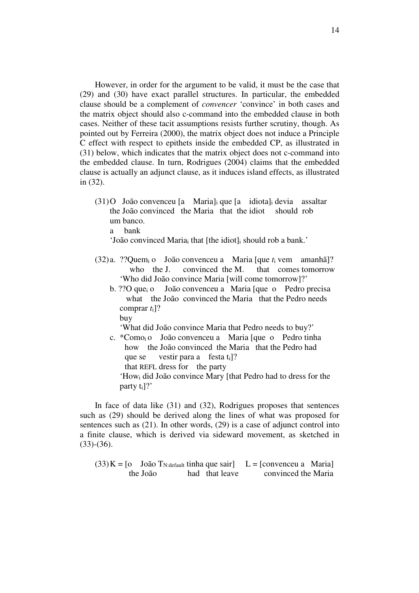However, in order for the argument to be valid, it must be the case that (29) and (30) have exact parallel structures. In particular, the embedded clause should be a complement of *convencer* 'convince' in both cases and the matrix object should also c-command into the embedded clause in both cases. Neither of these tacit assumptions resists further scrutiny, though. As pointed out by Ferreira (2000), the matrix object does not induce a Principle C effect with respect to epithets inside the embedded CP, as illustrated in (31) below, which indicates that the matrix object does not c-command into the embedded clause. In turn, Rodrigues (2004) claims that the embedded clause is actually an adjunct clause, as it induces island effects, as illustrated in (32).

 (31) O João convenceu [a Maria]i que [a idiota]<sup>i</sup> devia assaltar the João convinced the Maria that the idiot should rob um banco.

a bank

'João convinced Mariai that [the idiot]i should rob a bank.'

- (32) a. ??Quemi o João convenceu a Maria [que *t*i vem amanhã]? who the I. convinced the M. that comes tomorrow 'Who did João convince Maria [will come tomorrow]?'
	- b. ??O que<sub>i</sub> o João convenceu a Maria [que o Pedro precisa what the João convinced the Maria that the Pedro needs comprar *t*i]? buy

'What did João convince Maria that Pedro needs to buy?'

 c. \*Comoi o João convenceu a Maria [que o Pedro tinha how the João convinced the Maria that the Pedro had que se vestir para a festa  $t_i$ ]? that REFL dress for the party

 'Howi did João convince Mary [that Pedro had to dress for the party ti]?'

 In face of data like (31) and (32), Rodrigues proposes that sentences such as (29) should be derived along the lines of what was proposed for sentences such as (21). In other words, (29) is a case of adjunct control into a finite clause, which is derived via sideward movement, as sketched in (33)-(36).

 $(33) K = [o$  João T<sub>N:default</sub> tinha que sair] L = [convenceu a Maria] the João had that leave convinced the Maria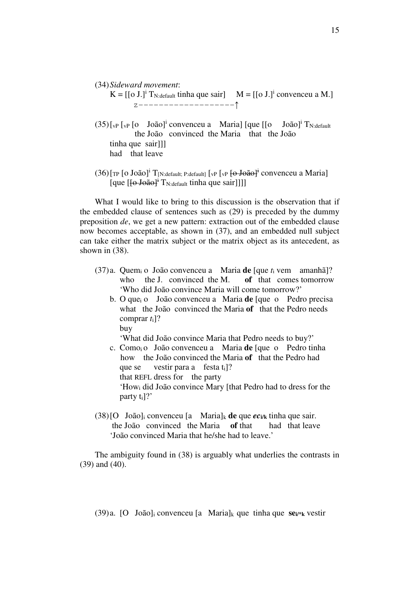#### (34) *Sideward movement*:

- $K = [[o J.]<sup>i</sup> T<sub>N:default</sub> tinha que sair]$   $M = [[o J.]<sup>i</sup> convenceu a M.]$ z-------------------↑
- $(35)$ [<sub>vP</sub> [<sub>vP</sub> [o João]<sup>i</sup> convenceu a Maria] [que [[o João]<sup>i</sup> T<sub>N:default</sub> the João convinced the Maria that the João tinha que sairlll had that leave
- $(36)$ [<sub>TP</sub> [o João]<sup>i</sup> T<sub>[N:default; P:default]</sub> [<sub>vP</sub> [<sub>vP</sub> [<del>o João]<sup>i</sup></del> convenceu a Maria] [que  $[\overline{\text{6-João}}]^{\dagger}$  T<sub>N:default</sub> tinha que sair]]]]

 What I would like to bring to this discussion is the observation that if the embedded clause of sentences such as (29) is preceded by the dummy preposition *de*, we get a new pattern: extraction out of the embedded clause now becomes acceptable, as shown in (37), and an embedded null subject can take either the matrix subject or the matrix object as its antecedent, as shown in (38).

- (37) a. Quemi o João convenceu a Maria **de** [que *t*i vem amanhã]? who the J. convinced the M. **of** that comes tomorrow 'Who did João convince Maria will come tomorrow?'
	- b. O quei o João convenceu a Maria **de** [que o Pedro precisa what the João convinced the Maria **of** that the Pedro needs comprar *t*i]? buy

'What did João convince Maria that Pedro needs to buy?'

- c. Comoi o João convenceu a Maria **de** [que o Pedro tinha how the João convinced the Maria **of** that the Pedro had que se vestir para a festa  $t_i$ ]? that REFL dress for the party 'Howi did João convince Mary [that Pedro had to dress for the party ti]?'
- $(38)$  [O João]<sub>i</sub> convenceu [a Maria]<sub>k</sub> **de** que *ec*<sub>*i*/k</sub> tinha que sair. the João convinced the Maria **of** that had that leave 'João convinced Maria that he/she had to leave.'

 The ambiguity found in (38) is arguably what underlies the contrasts in (39) and (40).

(39) a. [O João]i convenceu [a Maria]k que tinha que **sei/\*k** vestir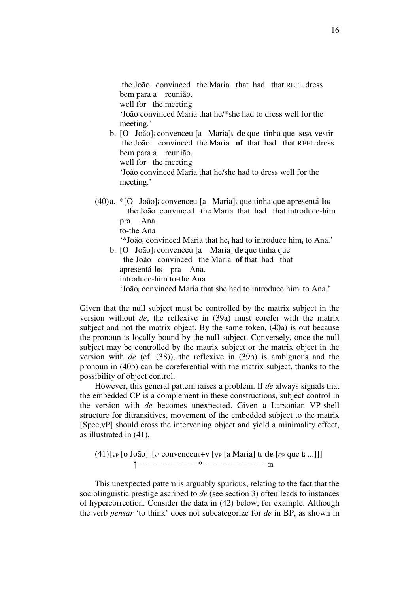the João convinced the Maria that had that REFL dress bem para a reunião. well for the meeting 'João convinced Maria that he/\*she had to dress well for the meeting.'

- b. [O João]i convenceu [a Maria]k **de** que tinha que **sei/k** vestir the João convinced the Maria **of** that had that REFL dress bem para a reunião. well for the meeting 'João convinced Maria that he/she had to dress well for the meeting.'
- (40) a. \*[O João]i convenceu [a Maria]k que tinha que apresentá-**lo<sup>i</sup>** the João convinced the Maria that had that introduce-him pra Ana. to-the Ana '\*Joãoi convinced Maria that hei had to introduce himi to Ana.'
	- b. [O João]i convenceu [a Maria] **de** que tinha que the João convinced the Maria **of** that had that apresentá-**loi** pra Ana. introduce-him to-the Ana 'Joãoi convinced Maria that she had to introduce himi to Ana.'

Given that the null subject must be controlled by the matrix subject in the version without *de*, the reflexive in (39a) must corefer with the matrix subject and not the matrix object. By the same token, (40a) is out because the pronoun is locally bound by the null subject. Conversely, once the null subject may be controlled by the matrix subject or the matrix object in the version with *de* (cf. (38)), the reflexive in (39b) is ambiguous and the pronoun in (40b) can be coreferential with the matrix subject, thanks to the possibility of object control.

 However, this general pattern raises a problem. If *de* always signals that the embedded CP is a complement in these constructions, subject control in the version with *de* becomes unexpected. Given a Larsonian VP-shell structure for ditransitives, movement of the embedded subject to the matrix [Spec,vP] should cross the intervening object and yield a minimality effect, as illustrated in (41).

 $(41)$  [<sub>VP</sub> [o João]<sub>i</sub> [<sub>v'</sub> convenceu<sub>k</sub>+v [<sub>VP</sub> [a Maria] t<sub>k</sub> **de** [<sub>CP</sub> que t<sub>i</sub> ...]]] ↑------------\*-------------m

 This unexpected pattern is arguably spurious, relating to the fact that the sociolinguistic prestige ascribed to *de* (see section 3) often leads to instances of hypercorrection. Consider the data in (42) below, for example. Although the verb *pensar* 'to think' does not subcategorize for *de* in BP, as shown in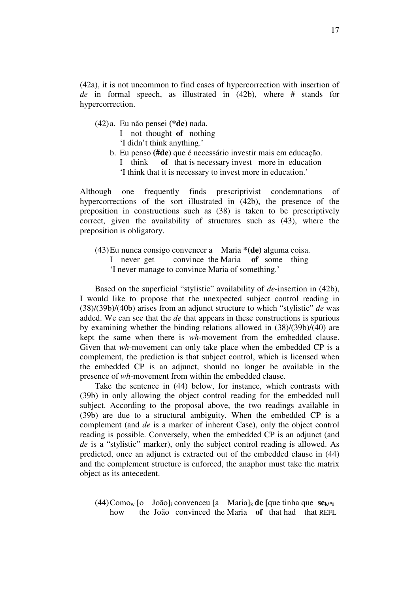(42a), it is not uncommon to find cases of hypercorrection with insertion of *de* in formal speech, as illustrated in (42b), where # stands for hypercorrection.

(42) a. Eu não pensei **(\*de)** nada.

I not thought **of** nothing

'I didn't think anything.'

 b. Eu penso **(#de)** que é necessário investir mais em educação. I think **of** that is necessary invest more in education 'I think that it is necessary to invest more in education.'

Although one frequently finds prescriptivist condemnations of hypercorrections of the sort illustrated in (42b), the presence of the preposition in constructions such as (38) is taken to be prescriptively correct, given the availability of structures such as (43), where the preposition is obligatory.

 (43) Eu nunca consigo convencer a Maria **\*(de)** alguma coisa. I never get convince the Maria **of** some thing 'I never manage to convince Maria of something.'

 Based on the superficial "stylistic" availability of *de*-insertion in (42b), I would like to propose that the unexpected subject control reading in (38)/(39b)/(40b) arises from an adjunct structure to which "stylistic" *de* was added. We can see that the *de* that appears in these constructions is spurious by examining whether the binding relations allowed in (38)/(39b)/(40) are kept the same when there is *wh*-movement from the embedded clause. Given that *wh*-movement can only take place when the embedded CP is a complement, the prediction is that subject control, which is licensed when the embedded CP is an adjunct, should no longer be available in the presence of *wh*-movement from within the embedded clause.

 Take the sentence in (44) below, for instance, which contrasts with (39b) in only allowing the object control reading for the embedded null subject. According to the proposal above, the two readings available in (39b) are due to a structural ambiguity. When the embedded CP is a complement (and *de* is a marker of inherent Case), only the object control reading is possible. Conversely, when the embedded CP is an adjunct (and *de* is a "stylistic" marker), only the subject control reading is allowed. As predicted, once an adjunct is extracted out of the embedded clause in (44) and the complement structure is enforced, the anaphor must take the matrix object as its antecedent.

 (44) Comow [o João]i convenceu [a Maria]k **de [**que tinha que **sek/\*i** how the João convinced the Maria **of** that had that REFL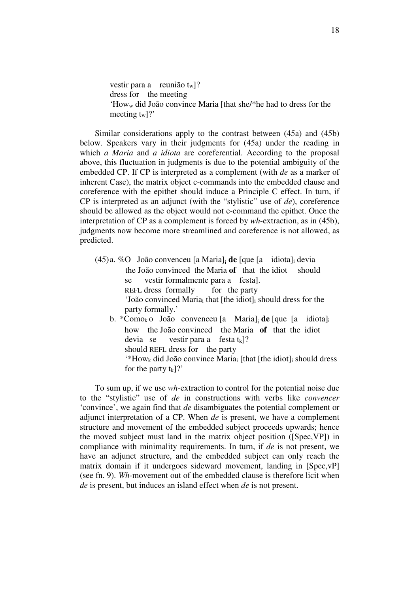vestir para a reunião t<sub>w</sub>]? dress for the meeting 'Howw did João convince Maria [that she/\*he had to dress for the meeting t<sub>w</sub>]?'

 Similar considerations apply to the contrast between (45a) and (45b) below. Speakers vary in their judgments for (45a) under the reading in which *a Maria* and *a idiota* are coreferential. According to the proposal above, this fluctuation in judgments is due to the potential ambiguity of the embedded CP. If CP is interpreted as a complement (with *de* as a marker of inherent Case), the matrix object c-commands into the embedded clause and coreference with the epithet should induce a Principle C effect. In turn, if CP is interpreted as an adjunct (with the "stylistic" use of *de*), coreference should be allowed as the object would not c-command the epithet. Once the interpretation of CP as a complement is forced by *wh*-extraction, as in (45b), judgments now become more streamlined and coreference is not allowed, as predicted.

- (45) a. %O João convenceu [a Maria]<sup>i</sup> **de** [que [a idiota]i devia the João convinced the Maria **of** that the idiot should se vestir formalmente para a festa]. REFL dress formally for the party 'João convinced Mariai that [the idiot]i should dress for the party formally.'
	- b. \*Comok o João convenceu [a Maria]<sup>i</sup> **de** [que [a idiota]<sup>i</sup> how the João convinced the Maria **of** that the idiot devia se vestir para a festa  $t_k$ ]? should REFL dress for the party  $*$ How<sub>k</sub> did João convince Maria<sub>i</sub> [that [the idiot]<sub>i</sub> should dress for the party  $t_k$ ]?'

 To sum up, if we use *wh*-extraction to control for the potential noise due to the "stylistic" use of *de* in constructions with verbs like *convencer* 'convince', we again find that *de* disambiguates the potential complement or adjunct interpretation of a CP. When *de* is present, we have a complement structure and movement of the embedded subject proceeds upwards; hence the moved subject must land in the matrix object position ([Spec,VP]) in compliance with minimality requirements. In turn, if *de* is not present, we have an adjunct structure, and the embedded subject can only reach the matrix domain if it undergoes sideward movement, landing in [Spec,vP] (see fn. 9). *Wh*-movement out of the embedded clause is therefore licit when *de* is present, but induces an island effect when *de* is not present.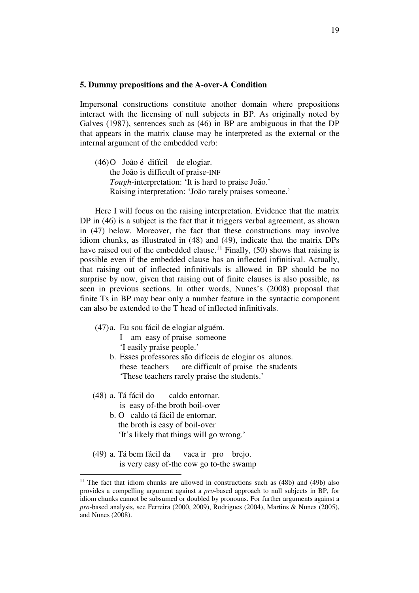#### **5. Dummy prepositions and the A-over-A Condition**

Impersonal constructions constitute another domain where prepositions interact with the licensing of null subjects in BP. As originally noted by Galves (1987), sentences such as (46) in BP are ambiguous in that the DP that appears in the matrix clause may be interpreted as the external or the internal argument of the embedded verb:

(46) O João é difícil de elogiar. the João is difficult of praise-INF *Tough*-interpretation: 'It is hard to praise João.' Raising interpretation: 'João rarely praises someone.'

 Here I will focus on the raising interpretation. Evidence that the matrix DP in (46) is a subject is the fact that it triggers verbal agreement, as shown in (47) below. Moreover, the fact that these constructions may involve idiom chunks, as illustrated in (48) and (49), indicate that the matrix DPs have raised out of the embedded clause.<sup>11</sup> Finally,  $(50)$  shows that raising is possible even if the embedded clause has an inflected infinitival. Actually, that raising out of inflected infinitivals is allowed in BP should be no surprise by now, given that raising out of finite clauses is also possible, as seen in previous sections. In other words, Nunes's (2008) proposal that finite Ts in BP may bear only a number feature in the syntactic component can also be extended to the T head of inflected infinitivals.

- (47) a. Eu sou fácil de elogiar alguém.
	- I am easy of praise someone 'I easily praise people.'
	- b. Esses professores são difíceis de elogiar os alunos. these teachers are difficult of praise the students 'These teachers rarely praise the students.'
- (48) a. Tá fácil do caldo entornar. is easy of-the broth boil-over

- b. O caldo tá fácil de entornar. the broth is easy of boil-over 'It's likely that things will go wrong.'
- (49) a. Tá bem fácil da vaca ir pro brejo. is very easy of-the cow go to-the swamp

<sup>&</sup>lt;sup>11</sup> The fact that idiom chunks are allowed in constructions such as  $(48b)$  and  $(49b)$  also provides a compelling argument against a *pro*-based approach to null subjects in BP, for idiom chunks cannot be subsumed or doubled by pronouns. For further arguments against a *pro*-based analysis, see Ferreira (2000, 2009), Rodrigues (2004), Martins & Nunes (2005), and Nunes (2008).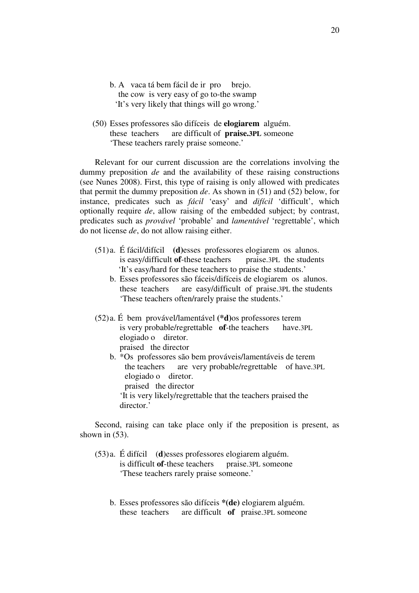- b. A vaca tá bem fácil de ir pro brejo. the cow is very easy of go to-the swamp 'It's very likely that things will go wrong.'
- (50) Esses professores são difíceis de **elogiarem** alguém. these teachers are difficult of **praise.3PL** someone 'These teachers rarely praise someone.'

 Relevant for our current discussion are the correlations involving the dummy preposition *de* and the availability of these raising constructions (see Nunes 2008). First, this type of raising is only allowed with predicates that permit the dummy preposition *de*. As shown in (51) and (52) below, for instance, predicates such as *fácil* 'easy' and *difícil* 'difficult', which optionally require *de*, allow raising of the embedded subject; by contrast, predicates such as *provável* 'probable' and *lamentável* 'regrettable', which do not license *de*, do not allow raising either.

- (51) a. É fácil/difícil **(d)**esses professores elogiarem os alunos. is easy/difficult **of**-these teachers praise.3PL the students 'It's easy/hard for these teachers to praise the students.'
	- b. Esses professores são fáceis/difíceis de elogiarem os alunos. these teachers are easy/difficult of praise.3PL the students 'These teachers often/rarely praise the students.'
- (52) a. É bem provável/lamentável **(\*d)**os professores terem is very probable/regrettable **of**-the teachers have.3PL elogiado o diretor. praised the director
	- b. \*Os professores são bem prováveis/lamentáveis de terem the teachers are very probable/regrettable of have.3PL elogiado o diretor. praised the director 'It is very likely/regrettable that the teachers praised the director.'

 Second, raising can take place only if the preposition is present, as shown in  $(53)$ .

- (53) a. É difícil (**d**)esses professores elogiarem alguém. is difficult **of**-these teachers praise.3PL someone 'These teachers rarely praise someone.'
	- b. Esses professores são difíceis **\*(de)** elogiarem alguém. these teachers are difficult **of** praise.3PL someone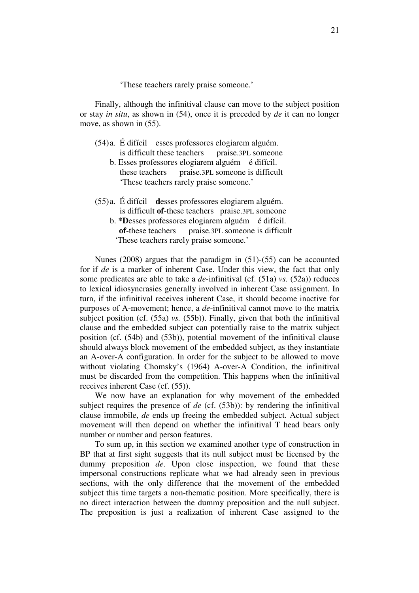'These teachers rarely praise someone.'

 Finally, although the infinitival clause can move to the subject position or stay *in situ*, as shown in (54), once it is preceded by *de* it can no longer move, as shown in (55).

|  | (54) a. É difícil esses professores elogiarem alguém. |                    |  |
|--|-------------------------------------------------------|--------------------|--|
|  | is difficult these teachers                           | praise.3PL someone |  |

- b. Esses professores elogiarem alguém é difícil. these teachers praise.3PL someone is difficult 'These teachers rarely praise someone.'
- (55) a. É difícil **d**esses professores elogiarem alguém. is difficult **of**-these teachers praise.3PL someone
	- b. **\*D**esses professores elogiarem alguém é difícil. **of**-these teachers praise.3PL someone is difficult 'These teachers rarely praise someone.'

 Nunes (2008) argues that the paradigm in (51)-(55) can be accounted for if *de* is a marker of inherent Case. Under this view, the fact that only some predicates are able to take a *de*-infinitival (cf. (51a) *vs.* (52a)) reduces to lexical idiosyncrasies generally involved in inherent Case assignment. In turn, if the infinitival receives inherent Case, it should become inactive for purposes of A-movement; hence, a *de*-infinitival cannot move to the matrix subject position (cf. (55a) *vs.* (55b)). Finally, given that both the infinitival clause and the embedded subject can potentially raise to the matrix subject position (cf. (54b) and (53b)), potential movement of the infinitival clause should always block movement of the embedded subject, as they instantiate an A-over-A configuration. In order for the subject to be allowed to move without violating Chomsky's (1964) A-over-A Condition, the infinitival must be discarded from the competition. This happens when the infinitival receives inherent Case (cf. (55)).

 We now have an explanation for why movement of the embedded subject requires the presence of *de* (cf. (53b)): by rendering the infinitival clause immobile, *de* ends up freeing the embedded subject. Actual subject movement will then depend on whether the infinitival T head bears only number or number and person features.

 To sum up, in this section we examined another type of construction in BP that at first sight suggests that its null subject must be licensed by the dummy preposition *de*. Upon close inspection, we found that these impersonal constructions replicate what we had already seen in previous sections, with the only difference that the movement of the embedded subject this time targets a non-thematic position. More specifically, there is no direct interaction between the dummy preposition and the null subject. The preposition is just a realization of inherent Case assigned to the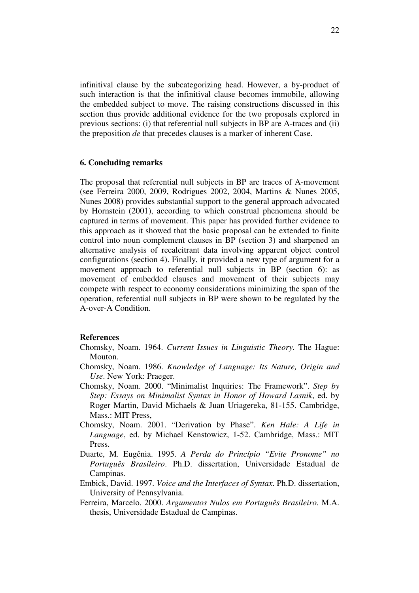infinitival clause by the subcategorizing head. However, a by-product of such interaction is that the infinitival clause becomes immobile, allowing the embedded subject to move. The raising constructions discussed in this section thus provide additional evidence for the two proposals explored in previous sections: (i) that referential null subjects in BP are A-traces and (ii) the preposition *de* that precedes clauses is a marker of inherent Case.

## **6. Concluding remarks**

The proposal that referential null subjects in BP are traces of A-movement (see Ferreira 2000, 2009, Rodrigues 2002, 2004, Martins & Nunes 2005, Nunes 2008) provides substantial support to the general approach advocated by Hornstein (2001), according to which construal phenomena should be captured in terms of movement. This paper has provided further evidence to this approach as it showed that the basic proposal can be extended to finite control into noun complement clauses in BP (section 3) and sharpened an alternative analysis of recalcitrant data involving apparent object control configurations (section 4). Finally, it provided a new type of argument for a movement approach to referential null subjects in BP (section 6): as movement of embedded clauses and movement of their subjects may compete with respect to economy considerations minimizing the span of the operation, referential null subjects in BP were shown to be regulated by the A-over-A Condition.

### **References**

- Chomsky, Noam. 1964. *Current Issues in Linguistic Theory.* The Hague: Mouton.
- Chomsky, Noam. 1986. *Knowledge of Language: Its Nature, Origin and Use*. New York: Praeger.
- Chomsky, Noam. 2000. "Minimalist Inquiries: The Framework". *Step by Step: Essays on Minimalist Syntax in Honor of Howard Lasnik*, ed. by Roger Martin, David Michaels & Juan Uriagereka, 81-155. Cambridge, Mass.: MIT Press,
- Chomsky, Noam. 2001. "Derivation by Phase". *Ken Hale: A Life in Language*, ed. by Michael Kenstowicz, 1-52. Cambridge, Mass.: MIT Press.
- Duarte, M. Eugênia. 1995. *A Perda do Princípio "Evite Pronome" no Português Brasileiro*. Ph.D. dissertation, Universidade Estadual de Campinas.
- Embick, David. 1997. *Voice and the Interfaces of Syntax*. Ph.D. dissertation, University of Pennsylvania.
- Ferreira, Marcelo. 2000. *Argumentos Nulos em Português Brasileiro*. M.A. thesis, Universidade Estadual de Campinas.